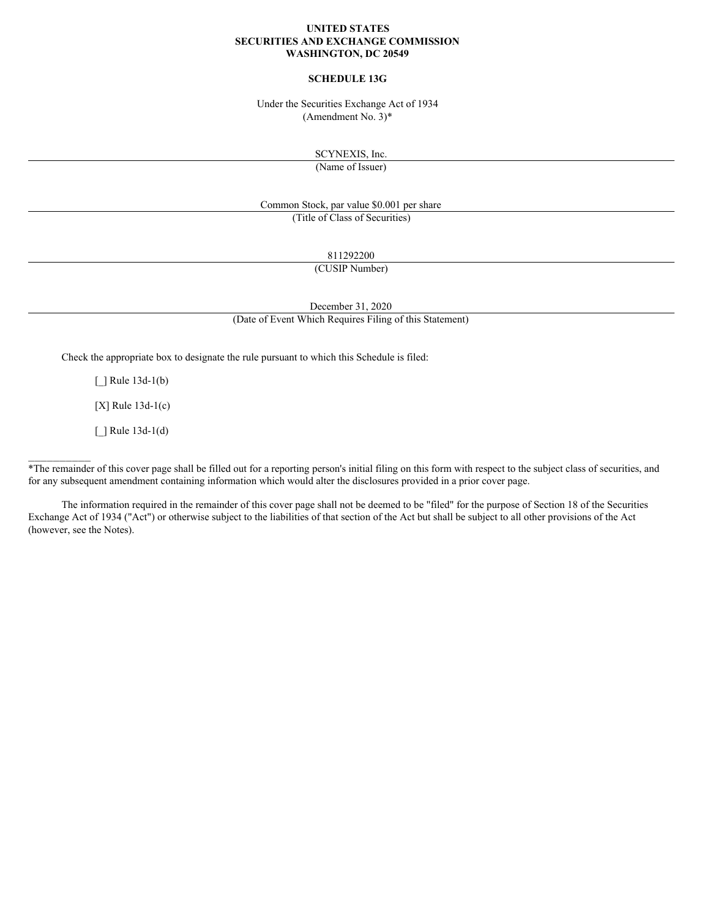## **UNITED STATES SECURITIES AND EXCHANGE COMMISSION WASHINGTON, DC 20549**

## **SCHEDULE 13G**

Under the Securities Exchange Act of 1934 (Amendment No. 3)\*

SCYNEXIS, Inc.

(Name of Issuer)

Common Stock, par value \$0.001 per share (Title of Class of Securities)

811292200

(CUSIP Number)

December 31, 2020

(Date of Event Which Requires Filing of this Statement)

Check the appropriate box to designate the rule pursuant to which this Schedule is filed:

[*\_*] Rule 13d-1(b)

[X] Rule 13d-1(c)

[\_] Rule 13d-1(d)

 $\frac{1}{2}$  ,  $\frac{1}{2}$  ,  $\frac{1}{2}$  ,  $\frac{1}{2}$  ,  $\frac{1}{2}$  ,  $\frac{1}{2}$ 

\*The remainder of this cover page shall be filled out for a reporting person's initial filing on this form with respect to the subject class of securities, and for any subsequent amendment containing information which would alter the disclosures provided in a prior cover page.

The information required in the remainder of this cover page shall not be deemed to be "filed" for the purpose of Section 18 of the Securities Exchange Act of 1934 ("Act") or otherwise subject to the liabilities of that section of the Act but shall be subject to all other provisions of the Act (however, see the Notes).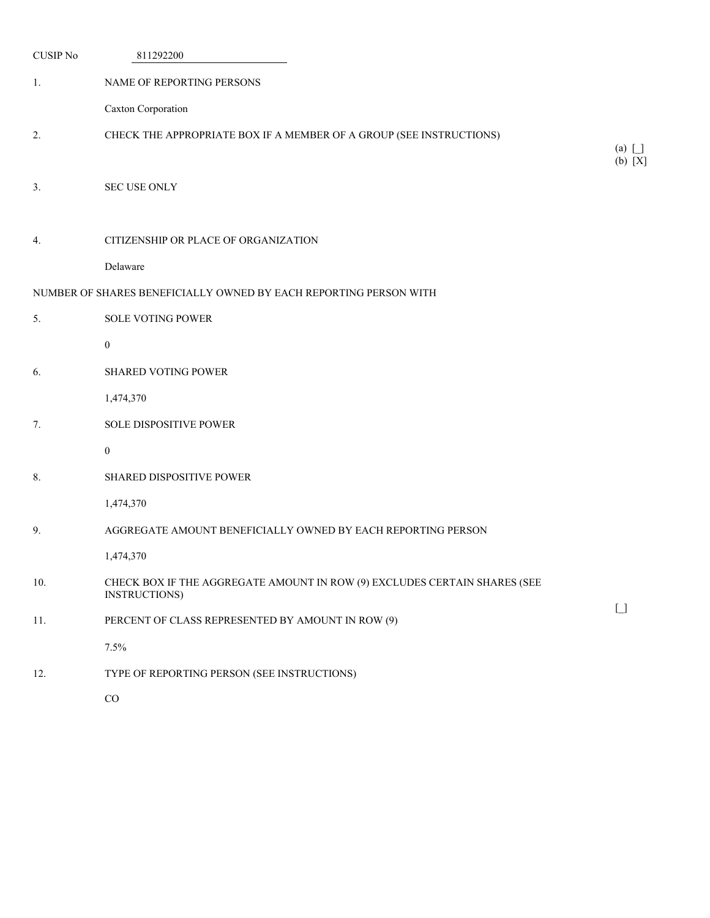| <b>CUSIP No</b> | 811292200                                                                                  |              |
|-----------------|--------------------------------------------------------------------------------------------|--------------|
| 1.              | NAME OF REPORTING PERSONS                                                                  |              |
|                 | Caxton Corporation                                                                         |              |
| 2.              | CHECK THE APPROPRIATE BOX IF A MEMBER OF A GROUP (SEE INSTRUCTIONS)                        | $(a)$ $\Box$ |
| 3.              | SEC USE ONLY                                                                               | (b) [X]      |
| 4.              | CITIZENSHIP OR PLACE OF ORGANIZATION                                                       |              |
|                 | Delaware                                                                                   |              |
|                 | NUMBER OF SHARES BENEFICIALLY OWNED BY EACH REPORTING PERSON WITH                          |              |
| 5.              | <b>SOLE VOTING POWER</b>                                                                   |              |
|                 | $\boldsymbol{0}$                                                                           |              |
| 6.              | <b>SHARED VOTING POWER</b>                                                                 |              |
|                 | 1,474,370                                                                                  |              |
| 7.              | SOLE DISPOSITIVE POWER                                                                     |              |
|                 | $\boldsymbol{0}$                                                                           |              |
| 8.              | SHARED DISPOSITIVE POWER                                                                   |              |
|                 | 1,474,370                                                                                  |              |
| 9.              | AGGREGATE AMOUNT BENEFICIALLY OWNED BY EACH REPORTING PERSON                               |              |
|                 | 1,474,370                                                                                  |              |
| 10.             | CHECK BOX IF THE AGGREGATE AMOUNT IN ROW (9) EXCLUDES CERTAIN SHARES (SEE<br>INSTRUCTIONS) |              |
| 11.             | PERCENT OF CLASS REPRESENTED BY AMOUNT IN ROW (9)                                          | $\Box$       |
|                 | 7.5%                                                                                       |              |
| 12.             | TYPE OF REPORTING PERSON (SEE INSTRUCTIONS)                                                |              |

CO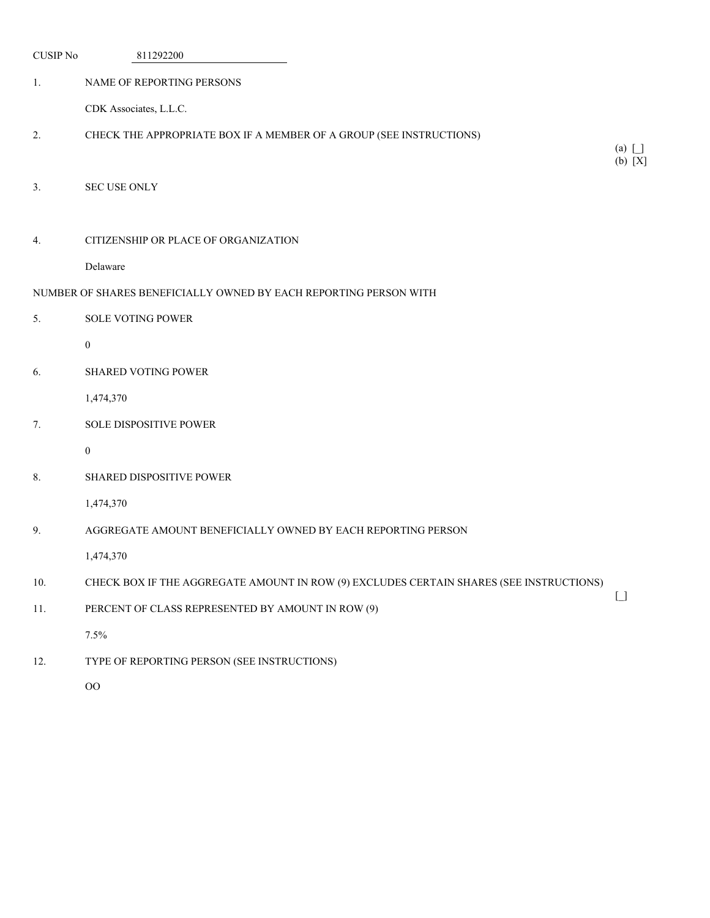| <b>CUSIP No</b> | 811292200                                                                               |
|-----------------|-----------------------------------------------------------------------------------------|
| 1.              | NAME OF REPORTING PERSONS                                                               |
|                 | CDK Associates, L.L.C.                                                                  |
| 2.              | CHECK THE APPROPRIATE BOX IF A MEMBER OF A GROUP (SEE INSTRUCTIONS)                     |
|                 |                                                                                         |
| 3.              | <b>SEC USE ONLY</b>                                                                     |
| 4.              | CITIZENSHIP OR PLACE OF ORGANIZATION                                                    |
|                 | Delaware                                                                                |
|                 | NUMBER OF SHARES BENEFICIALLY OWNED BY EACH REPORTING PERSON WITH                       |
| 5.              | <b>SOLE VOTING POWER</b>                                                                |
|                 | $\boldsymbol{0}$                                                                        |
| 6.              | <b>SHARED VOTING POWER</b>                                                              |
|                 | 1,474,370                                                                               |
| 7.              | SOLE DISPOSITIVE POWER                                                                  |
|                 | $\boldsymbol{0}$                                                                        |
| 8.              | <b>SHARED DISPOSITIVE POWER</b>                                                         |
|                 | 1,474,370                                                                               |
| 9.              | AGGREGATE AMOUNT BENEFICIALLY OWNED BY EACH REPORTING PERSON                            |
|                 | 1,474,370                                                                               |
| 10.             | CHECK BOX IF THE AGGREGATE AMOUNT IN ROW (9) EXCLUDES CERTAIN SHARES (SEE INSTRUCTIONS) |
| 11.             | PERCENT OF CLASS REPRESENTED BY AMOUNT IN ROW (9)                                       |
|                 | 7.5%                                                                                    |
| 12.             | TYPE OF REPORTING PERSON (SEE INSTRUCTIONS)                                             |

OO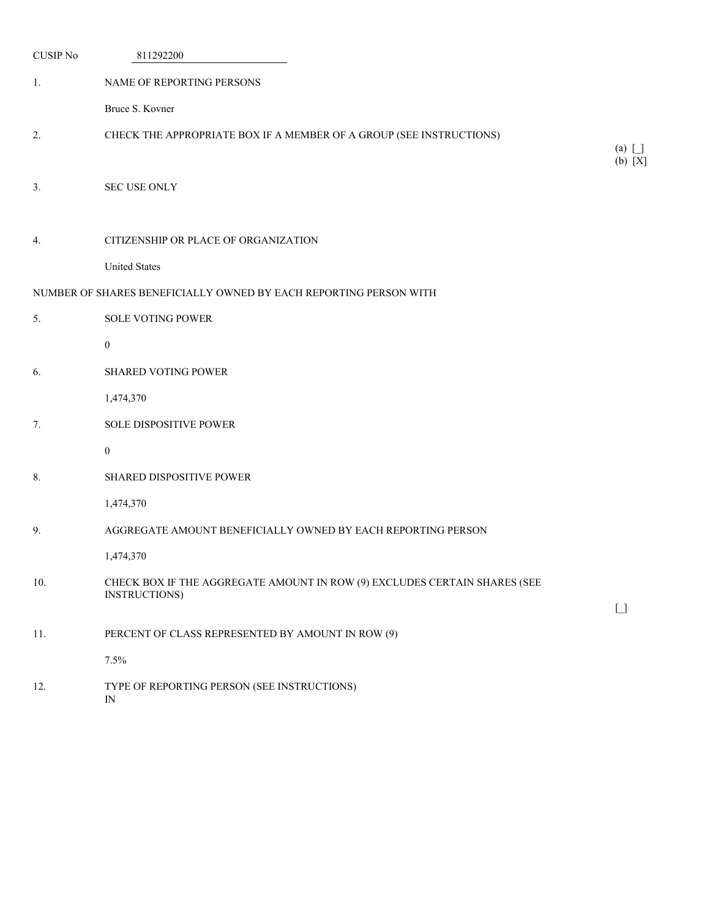| <b>CUSIP No</b> | 811292200                                                                                  |                                        |
|-----------------|--------------------------------------------------------------------------------------------|----------------------------------------|
| 1.              | NAME OF REPORTING PERSONS                                                                  |                                        |
|                 | Bruce S. Kovner                                                                            |                                        |
| 2.              | CHECK THE APPROPRIATE BOX IF A MEMBER OF A GROUP (SEE INSTRUCTIONS)                        | $(a)$ $\Box$                           |
|                 |                                                                                            | (b) [X]                                |
| 3.              | <b>SEC USE ONLY</b>                                                                        |                                        |
|                 |                                                                                            |                                        |
| 4.              | CITIZENSHIP OR PLACE OF ORGANIZATION                                                       |                                        |
|                 | <b>United States</b>                                                                       |                                        |
|                 | NUMBER OF SHARES BENEFICIALLY OWNED BY EACH REPORTING PERSON WITH                          |                                        |
| 5.              | <b>SOLE VOTING POWER</b>                                                                   |                                        |
|                 | $\boldsymbol{0}$                                                                           |                                        |
| 6.              | <b>SHARED VOTING POWER</b>                                                                 |                                        |
|                 | 1,474,370                                                                                  |                                        |
| 7.              | SOLE DISPOSITIVE POWER                                                                     |                                        |
|                 | $\boldsymbol{0}$                                                                           |                                        |
| 8.              | SHARED DISPOSITIVE POWER                                                                   |                                        |
|                 | 1,474,370                                                                                  |                                        |
| 9.              | AGGREGATE AMOUNT BENEFICIALLY OWNED BY EACH REPORTING PERSON                               |                                        |
|                 | 1,474,370                                                                                  |                                        |
| 10.             | CHECK BOX IF THE AGGREGATE AMOUNT IN ROW (9) EXCLUDES CERTAIN SHARES (SEE<br>INSTRUCTIONS) | $\begin{bmatrix} 1 \\ 2 \end{bmatrix}$ |
| 11.             | PERCENT OF CLASS REPRESENTED BY AMOUNT IN ROW (9)                                          |                                        |
|                 | 7.5%                                                                                       |                                        |
| 12.             | TYPE OF REPORTING PERSON (SEE INSTRUCTIONS)<br>IN                                          |                                        |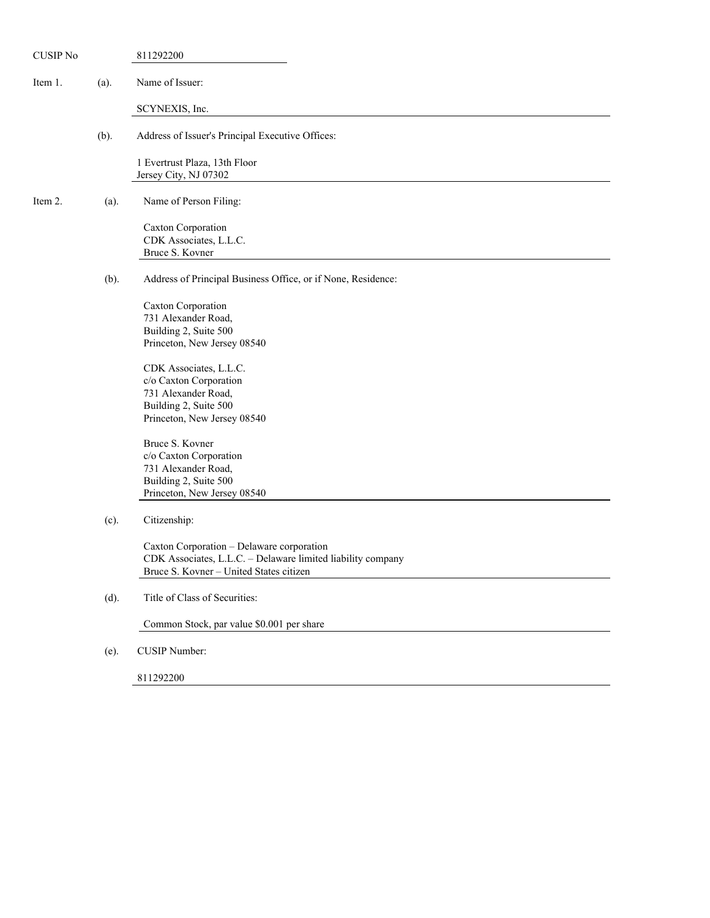| <b>CUSIP No</b> |      | 811292200                                                                                                                                                                                                                                                                                                                                                        |
|-----------------|------|------------------------------------------------------------------------------------------------------------------------------------------------------------------------------------------------------------------------------------------------------------------------------------------------------------------------------------------------------------------|
| Item 1.         | (a). | Name of Issuer:                                                                                                                                                                                                                                                                                                                                                  |
|                 |      | SCYNEXIS, Inc.                                                                                                                                                                                                                                                                                                                                                   |
|                 | (b). | Address of Issuer's Principal Executive Offices:                                                                                                                                                                                                                                                                                                                 |
|                 |      | 1 Evertrust Plaza, 13th Floor<br>Jersey City, NJ 07302                                                                                                                                                                                                                                                                                                           |
| Item 2.         | (a). | Name of Person Filing:                                                                                                                                                                                                                                                                                                                                           |
|                 |      | Caxton Corporation<br>CDK Associates, L.L.C.<br>Bruce S. Kovner                                                                                                                                                                                                                                                                                                  |
|                 | (b). | Address of Principal Business Office, or if None, Residence:                                                                                                                                                                                                                                                                                                     |
|                 |      | Caxton Corporation<br>731 Alexander Road,<br>Building 2, Suite 500<br>Princeton, New Jersey 08540<br>CDK Associates, L.L.C.<br>c/o Caxton Corporation<br>731 Alexander Road,<br>Building 2, Suite 500<br>Princeton, New Jersey 08540<br>Bruce S. Kovner<br>c/o Caxton Corporation<br>731 Alexander Road,<br>Building 2, Suite 500<br>Princeton, New Jersey 08540 |
|                 | (c). | Citizenship:                                                                                                                                                                                                                                                                                                                                                     |
|                 |      | Caxton Corporation - Delaware corporation<br>CDK Associates, L.L.C. - Delaware limited liability company<br>Bruce S. Kovner - United States citizen                                                                                                                                                                                                              |
|                 | (d). | Title of Class of Securities:                                                                                                                                                                                                                                                                                                                                    |
|                 |      | Common Stock, par value \$0.001 per share                                                                                                                                                                                                                                                                                                                        |
|                 | (e). | CUSIP Number:                                                                                                                                                                                                                                                                                                                                                    |
|                 |      | 811292200                                                                                                                                                                                                                                                                                                                                                        |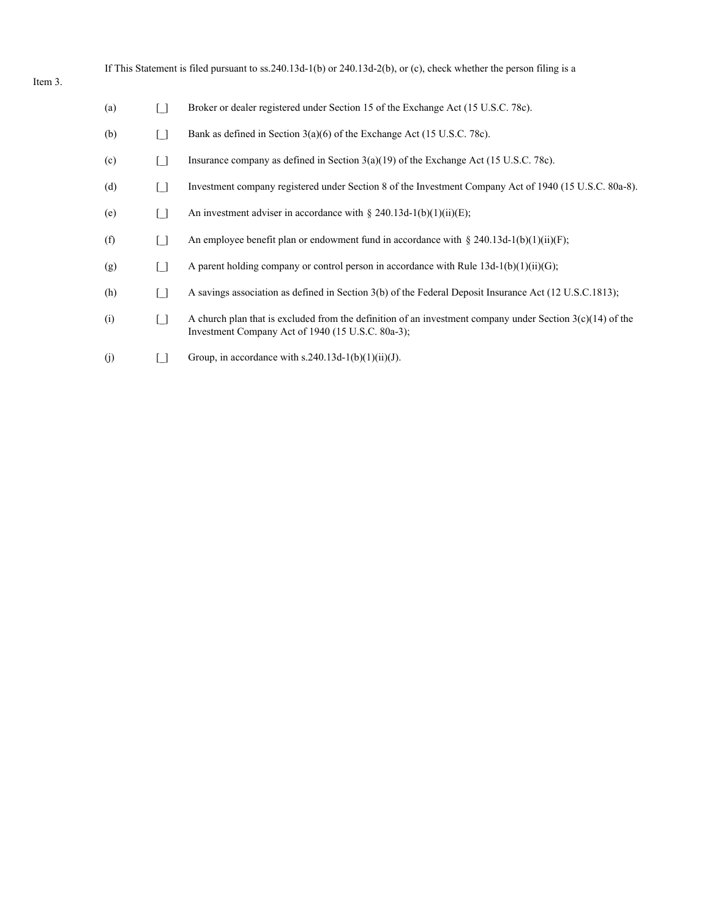If This Statement is filed pursuant to ss.240.13d-1(b) or 240.13d-2(b), or (c), check whether the person filing is a

| (a) | H                                      | Broker or dealer registered under Section 15 of the Exchange Act (15 U.S.C. 78c).                                                                                |
|-----|----------------------------------------|------------------------------------------------------------------------------------------------------------------------------------------------------------------|
| (b) | ſ 1                                    | Bank as defined in Section $3(a)(6)$ of the Exchange Act (15 U.S.C. 78c).                                                                                        |
| (c) | ſ 1                                    | Insurance company as defined in Section $3(a)(19)$ of the Exchange Act (15 U.S.C. 78c).                                                                          |
| (d) | []                                     | Investment company registered under Section 8 of the Investment Company Act of 1940 (15 U.S.C. 80a-8).                                                           |
| (e) | [ ]                                    | An investment adviser in accordance with § 240.13d-1(b)(1)(ii)(E);                                                                                               |
| (f) | [ ]                                    | An employee benefit plan or endowment fund in accordance with $\S 240.13d-1(b)(1)(ii)(F)$ ;                                                                      |
| (g) | $\begin{array}{c} \square \end{array}$ | A parent holding company or control person in accordance with Rule $13d-1(b)(1)(ii)(G)$ ;                                                                        |
| (h) | ſ 1                                    | A savings association as defined in Section 3(b) of the Federal Deposit Insurance Act (12 U.S.C.1813);                                                           |
| (i) | Γl                                     | A church plan that is excluded from the definition of an investment company under Section $3(c)(14)$ of the<br>Investment Company Act of 1940 (15 U.S.C. 80a-3); |
| (j) |                                        | Group, in accordance with s.240.13d-1(b)(1)(ii)(J).                                                                                                              |

# Item 3.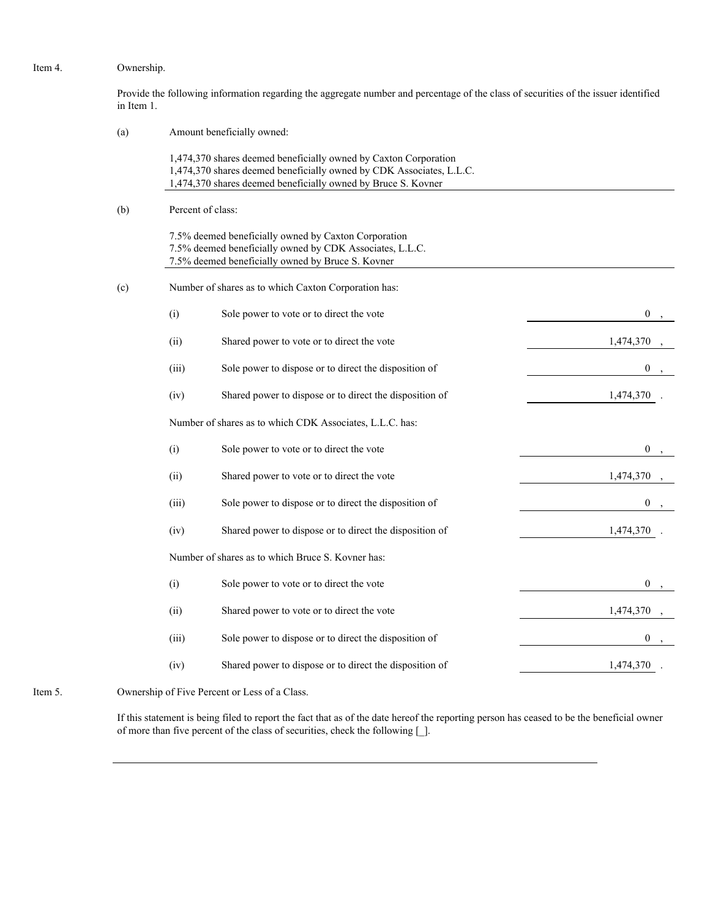| Item 4. | Ownership. |                   |                                                                                                                                                                                                           |                |
|---------|------------|-------------------|-----------------------------------------------------------------------------------------------------------------------------------------------------------------------------------------------------------|----------------|
|         | in Item 1. |                   | Provide the following information regarding the aggregate number and percentage of the class of securities of the issuer identified                                                                       |                |
|         | (a)        |                   | Amount beneficially owned:                                                                                                                                                                                |                |
|         |            |                   | 1,474,370 shares deemed beneficially owned by Caxton Corporation<br>1,474,370 shares deemed beneficially owned by CDK Associates, L.L.C.<br>1,474,370 shares deemed beneficially owned by Bruce S. Kovner |                |
|         | (b)        | Percent of class: |                                                                                                                                                                                                           |                |
|         |            |                   | 7.5% deemed beneficially owned by Caxton Corporation<br>7.5% deemed beneficially owned by CDK Associates, L.L.C.<br>7.5% deemed beneficially owned by Bruce S. Kovner                                     |                |
|         | (c)        |                   | Number of shares as to which Caxton Corporation has:                                                                                                                                                      |                |
|         |            | (i)               | Sole power to vote or to direct the vote                                                                                                                                                                  | $\overline{0}$ |
|         |            | (ii)              | Shared power to vote or to direct the vote                                                                                                                                                                | 1,474,370      |
|         |            | (iii)             | Sole power to dispose or to direct the disposition of                                                                                                                                                     | $\mathbf{0}$   |
|         |            | (iv)              | Shared power to dispose or to direct the disposition of                                                                                                                                                   | 1,474,370      |
|         |            |                   | Number of shares as to which CDK Associates, L.L.C. has:                                                                                                                                                  |                |
|         |            | (i)               | Sole power to vote or to direct the vote                                                                                                                                                                  | $\mathbf{0}$   |
|         |            | (ii)              | Shared power to vote or to direct the vote                                                                                                                                                                | 1,474,370      |
|         |            | (iii)             | Sole power to dispose or to direct the disposition of                                                                                                                                                     | $\mathbf{0}$   |
|         |            | (iv)              | Shared power to dispose or to direct the disposition of                                                                                                                                                   | 1,474,370      |
|         |            |                   | Number of shares as to which Bruce S. Kovner has:                                                                                                                                                         |                |
|         |            | (i)               | Sole power to vote or to direct the vote                                                                                                                                                                  | $\mathbf{0}$   |
|         |            | (ii)              | Shared power to vote or to direct the vote                                                                                                                                                                | 1,474,370      |
|         |            | (iii)             | Sole power to dispose or to direct the disposition of                                                                                                                                                     | $\mathbf{0}$   |
|         |            | (iv)              | Shared power to dispose or to direct the disposition of                                                                                                                                                   | 1,474,370      |
|         |            |                   |                                                                                                                                                                                                           |                |

Item 5. Ownership of Five Percent or Less of a Class.

If this statement is being filed to report the fact that as of the date hereof the reporting person has ceased to be the beneficial owner of more than five percent of the class of securities, check the following [\_].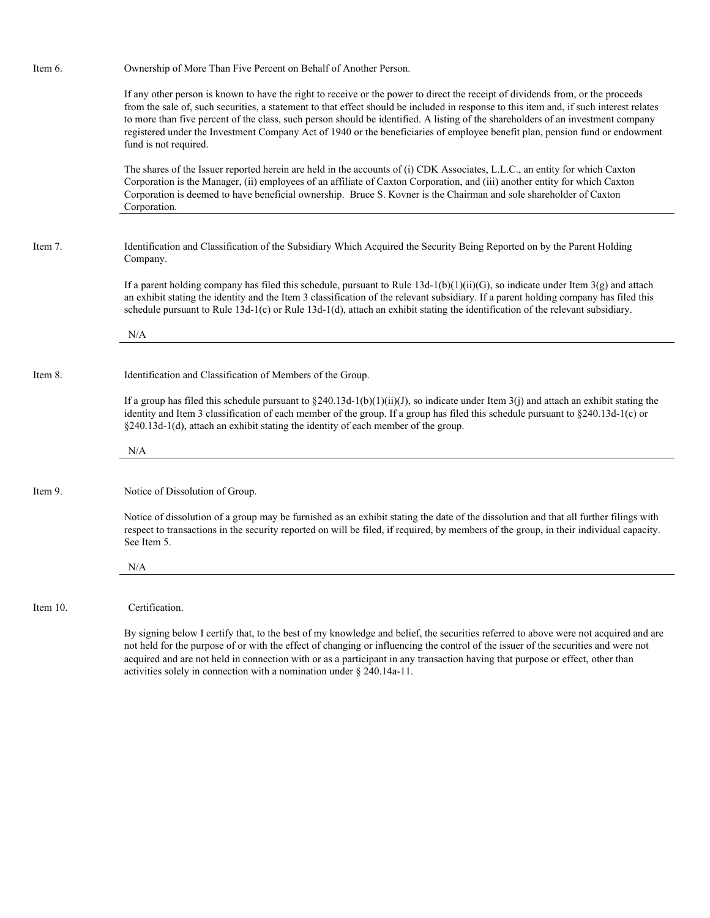| Item 6.  | Ownership of More Than Five Percent on Behalf of Another Person.                                                                                                                                                                                                                                                                                                                                                                                                                                                                                                        |
|----------|-------------------------------------------------------------------------------------------------------------------------------------------------------------------------------------------------------------------------------------------------------------------------------------------------------------------------------------------------------------------------------------------------------------------------------------------------------------------------------------------------------------------------------------------------------------------------|
|          | If any other person is known to have the right to receive or the power to direct the receipt of dividends from, or the proceeds<br>from the sale of, such securities, a statement to that effect should be included in response to this item and, if such interest relates<br>to more than five percent of the class, such person should be identified. A listing of the shareholders of an investment company<br>registered under the Investment Company Act of 1940 or the beneficiaries of employee benefit plan, pension fund or endowment<br>fund is not required. |
|          | The shares of the Issuer reported herein are held in the accounts of (i) CDK Associates, L.L.C., an entity for which Caxton<br>Corporation is the Manager, (ii) employees of an affiliate of Caxton Corporation, and (iii) another entity for which Caxton<br>Corporation is deemed to have beneficial ownership. Bruce S. Kovner is the Chairman and sole shareholder of Caxton<br>Corporation.                                                                                                                                                                        |
| Item 7.  | Identification and Classification of the Subsidiary Which Acquired the Security Being Reported on by the Parent Holding<br>Company.                                                                                                                                                                                                                                                                                                                                                                                                                                     |
|          | If a parent holding company has filed this schedule, pursuant to Rule $13d-1(b)(1)(ii)(G)$ , so indicate under Item 3(g) and attach<br>an exhibit stating the identity and the Item 3 classification of the relevant subsidiary. If a parent holding company has filed this<br>schedule pursuant to Rule $13d-1(c)$ or Rule $13d-1(d)$ , attach an exhibit stating the identification of the relevant subsidiary.                                                                                                                                                       |
|          | N/A                                                                                                                                                                                                                                                                                                                                                                                                                                                                                                                                                                     |
| Item 8.  | Identification and Classification of Members of the Group.                                                                                                                                                                                                                                                                                                                                                                                                                                                                                                              |
|          | If a group has filed this schedule pursuant to $\S 240.13d-1(b)(1)(ii)(J)$ , so indicate under Item 3(j) and attach an exhibit stating the<br>identity and Item 3 classification of each member of the group. If a group has filed this schedule pursuant to §240.13d-1(c) or<br>§240.13d-1(d), attach an exhibit stating the identity of each member of the group.                                                                                                                                                                                                     |
|          | N/A                                                                                                                                                                                                                                                                                                                                                                                                                                                                                                                                                                     |
|          |                                                                                                                                                                                                                                                                                                                                                                                                                                                                                                                                                                         |
| Item 9.  | Notice of Dissolution of Group.                                                                                                                                                                                                                                                                                                                                                                                                                                                                                                                                         |
|          | Notice of dissolution of a group may be furnished as an exhibit stating the date of the dissolution and that all further filings with<br>respect to transactions in the security reported on will be filed, if required, by members of the group, in their individual capacity.<br>See Item 5.                                                                                                                                                                                                                                                                          |
|          | N/A                                                                                                                                                                                                                                                                                                                                                                                                                                                                                                                                                                     |
|          |                                                                                                                                                                                                                                                                                                                                                                                                                                                                                                                                                                         |
| Item 10. | Certification.                                                                                                                                                                                                                                                                                                                                                                                                                                                                                                                                                          |
|          | By signing below I certify that, to the best of my knowledge and belief, the securities referred to above were not acquired and are<br>not held for the purpose of or with the effect of changing or influencing the control of the issuer of the securities and were not<br>acquired and are not held in connection with or as a participant in any transaction having that purpose or effect, other than<br>activities solely in connection with a nomination under § 240.14a-11.                                                                                     |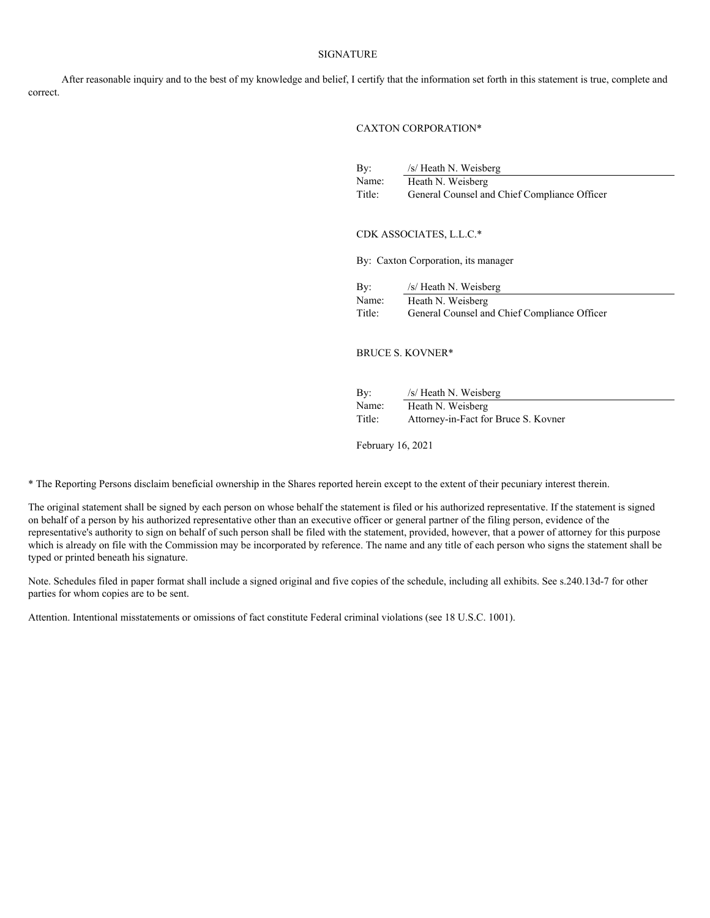#### SIGNATURE

After reasonable inquiry and to the best of my knowledge and belief, I certify that the information set forth in this statement is true, complete and correct.

#### CAXTON CORPORATION\*

| By:    | /s/ Heath N. Weisberg                        |
|--------|----------------------------------------------|
| Name:  | Heath N. Weisberg                            |
| Title: | General Counsel and Chief Compliance Officer |

#### CDK ASSOCIATES, L.L.C.\*

By: Caxton Corporation, its manager

| By:    | /s/ Heath N. Weisberg                        |
|--------|----------------------------------------------|
| Name:  | Heath N. Weisberg                            |
| Title: | General Counsel and Chief Compliance Officer |

### BRUCE S. KOVNER\*

| By:    | /s/ Heath N. Weisberg                |
|--------|--------------------------------------|
| Name:  | Heath N. Weisberg                    |
| Title: | Attorney-in-Fact for Bruce S. Kovner |

February 16, 2021

\* The Reporting Persons disclaim beneficial ownership in the Shares reported herein except to the extent of their pecuniary interest therein.

The original statement shall be signed by each person on whose behalf the statement is filed or his authorized representative. If the statement is signed on behalf of a person by his authorized representative other than an executive officer or general partner of the filing person, evidence of the representative's authority to sign on behalf of such person shall be filed with the statement, provided, however, that a power of attorney for this purpose which is already on file with the Commission may be incorporated by reference. The name and any title of each person who signs the statement shall be typed or printed beneath his signature.

Note. Schedules filed in paper format shall include a signed original and five copies of the schedule, including all exhibits. See s.240.13d-7 for other parties for whom copies are to be sent.

Attention. Intentional misstatements or omissions of fact constitute Federal criminal violations (see 18 U.S.C. 1001).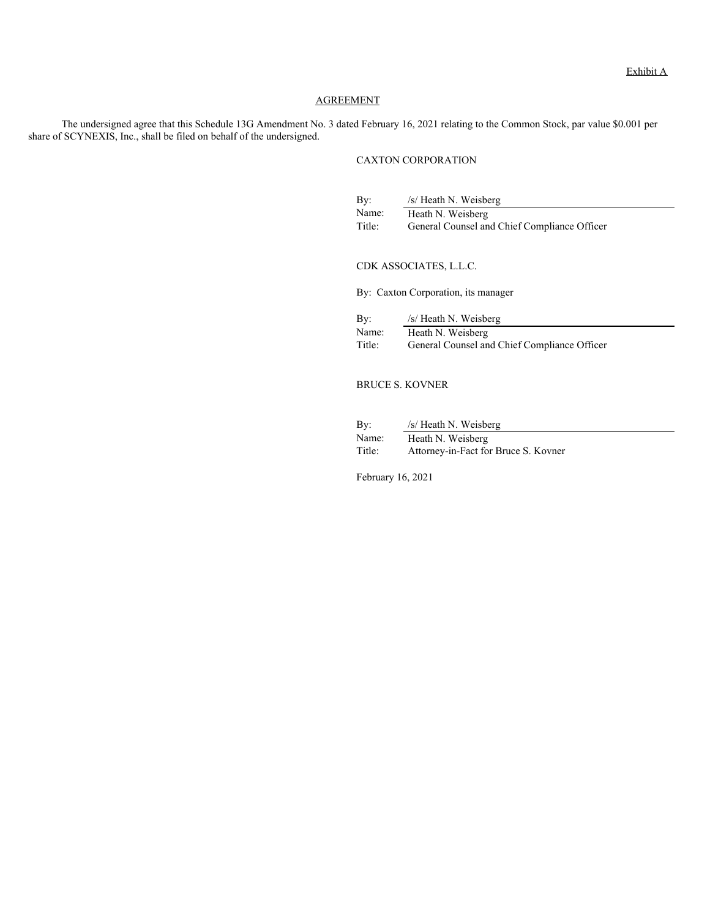## AGREEMENT

The undersigned agree that this Schedule 13G Amendment No. 3 dated February 16, 2021 relating to the Common Stock, par value \$0.001 per share of SCYNEXIS, Inc., shall be filed on behalf of the undersigned.

## CAXTON CORPORATION

| By:    | /s/ Heath N. Weisberg                        |
|--------|----------------------------------------------|
| Name:  | Heath N. Weisberg                            |
| Title: | General Counsel and Chief Compliance Officer |

## CDK ASSOCIATES, L.L.C.

By: Caxton Corporation, its manager

| By:    | /s/ Heath N. Weisberg                        |
|--------|----------------------------------------------|
| Name:  | Heath N. Weisberg                            |
| Title: | General Counsel and Chief Compliance Officer |

## BRUCE S. KOVNER

| By:    | /s/ Heath N. Weisberg                |
|--------|--------------------------------------|
| Name:  | Heath N. Weisberg                    |
| Title: | Attorney-in-Fact for Bruce S. Kovner |

February 16, 2021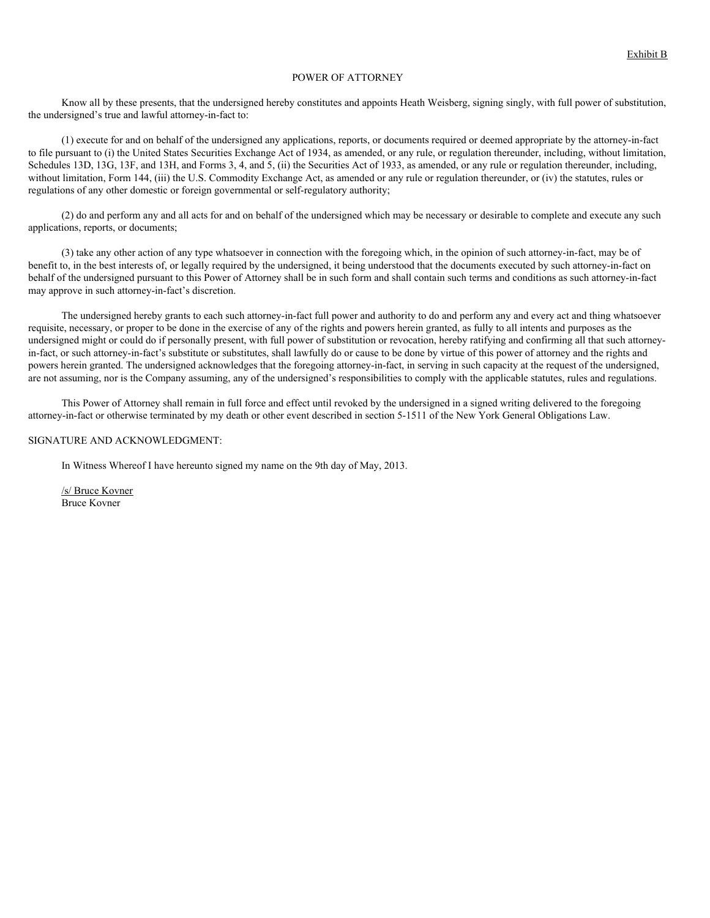## POWER OF ATTORNEY

Know all by these presents, that the undersigned hereby constitutes and appoints Heath Weisberg, signing singly, with full power of substitution, the undersigned's true and lawful attorney-in-fact to:

(1) execute for and on behalf of the undersigned any applications, reports, or documents required or deemed appropriate by the attorney-in-fact to file pursuant to (i) the United States Securities Exchange Act of 1934, as amended, or any rule, or regulation thereunder, including, without limitation, Schedules 13D, 13G, 13F, and 13H, and Forms 3, 4, and 5, (ii) the Securities Act of 1933, as amended, or any rule or regulation thereunder, including, without limitation, Form 144, (iii) the U.S. Commodity Exchange Act, as amended or any rule or regulation thereunder, or (iv) the statutes, rules or regulations of any other domestic or foreign governmental or self-regulatory authority;

(2) do and perform any and all acts for and on behalf of the undersigned which may be necessary or desirable to complete and execute any such applications, reports, or documents;

(3) take any other action of any type whatsoever in connection with the foregoing which, in the opinion of such attorney-in-fact, may be of benefit to, in the best interests of, or legally required by the undersigned, it being understood that the documents executed by such attorney-in-fact on behalf of the undersigned pursuant to this Power of Attorney shall be in such form and shall contain such terms and conditions as such attorney-in-fact may approve in such attorney-in-fact's discretion.

The undersigned hereby grants to each such attorney-in-fact full power and authority to do and perform any and every act and thing whatsoever requisite, necessary, or proper to be done in the exercise of any of the rights and powers herein granted, as fully to all intents and purposes as the undersigned might or could do if personally present, with full power of substitution or revocation, hereby ratifying and confirming all that such attorneyin-fact, or such attorney-in-fact's substitute or substitutes, shall lawfully do or cause to be done by virtue of this power of attorney and the rights and powers herein granted. The undersigned acknowledges that the foregoing attorney-in-fact, in serving in such capacity at the request of the undersigned, are not assuming, nor is the Company assuming, any of the undersigned's responsibilities to comply with the applicable statutes, rules and regulations.

This Power of Attorney shall remain in full force and effect until revoked by the undersigned in a signed writing delivered to the foregoing attorney-in-fact or otherwise terminated by my death or other event described in section 5-1511 of the New York General Obligations Law.

#### SIGNATURE AND ACKNOWLEDGMENT:

In Witness Whereof I have hereunto signed my name on the 9th day of May, 2013.

/s/ Bruce Kovner Bruce Kovner